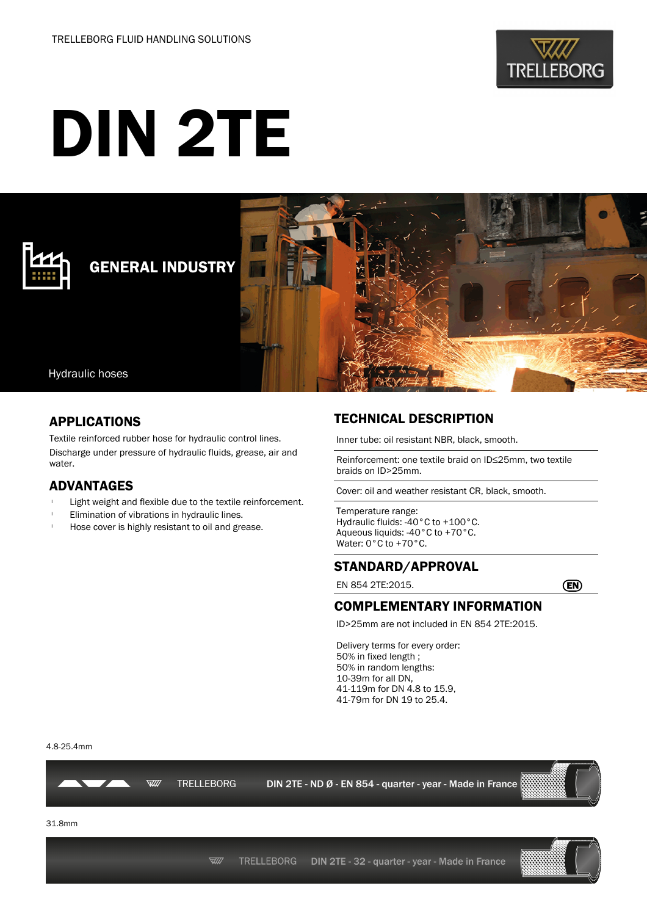

# DIN 2TE



## GENERAL INDUSTRY



#### Hydraulic hoses

#### APPLICATIONS

Textile reinforced rubber hose for hydraulic control lines. Discharge under pressure of hydraulic fluids, grease, air and water.

#### ADVANTAGES

- Light weight and flexible due to the textile reinforcement.
- Elimination of vibrations in hydraulic lines.
- Hose cover is highly resistant to oil and grease.

### TECHNICAL DESCRIPTION

Inner tube: oil resistant NBR, black, smooth.

Reinforcement: one textile braid on ID≤25mm, two textile braids on ID>25mm.

Cover: oil and weather resistant CR, black, smooth.

Temperature range: Hydraulic fluids: -40°C to +100°C. Aqueous liquids: -40°C to +70°C. Water: 0°C to +70°C.

#### STANDARD/APPROVAL

EN 854 2TE:2015. EN

#### COMPLEMENTARY INFORMATION

ID>25mm are not included in EN 854 2TE:2015.

Delivery terms for every order: 50% in fixed length ; 50% in random lengths: 10-39m for all DN, 41-119m for DN 4.8 to 15.9, 41-79m for DN 19 to 25.4.

4.8-25.4mm